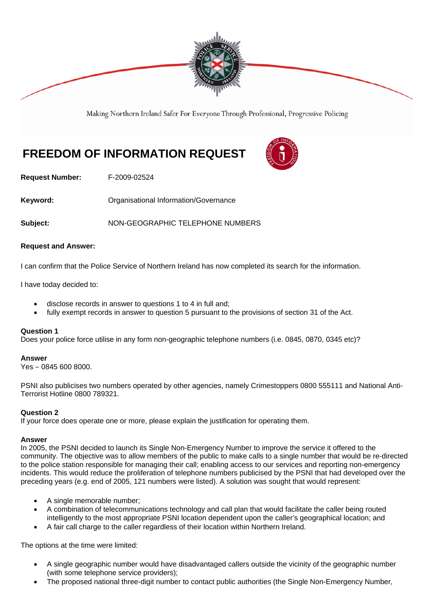

Making Northern Ireland Safer For Everyone Through Professional, Progressive Policing

# **FREEDOM OF INFORMATION REQUEST**



**Request Number:** F-2009-02524

**Keyword: C**rganisational Information/Governance

**Subject:** NON-GEOGRAPHIC TELEPHONE NUMBERS

## **Request and Answer:**

I can confirm that the Police Service of Northern Ireland has now completed its search for the information.

I have today decided to:

- disclose records in answer to questions 1 to 4 in full and;
- fully exempt records in answer to question 5 pursuant to the provisions of section 31 of the Act.

#### **Question 1**

Does your police force utilise in any form non-geographic telephone numbers (i.e. 0845, 0870, 0345 etc)?

#### **Answer**

Yes – 0845 600 8000.

PSNI also publicises two numbers operated by other agencies, namely Crimestoppers 0800 555111 and National Anti-Terrorist Hotline 0800 789321.

# **Question 2**

If your force does operate one or more, please explain the justification for operating them.

#### **Answer**

In 2005, the PSNI decided to launch its Single Non-Emergency Number to improve the service it offered to the community. The objective was to allow members of the public to make calls to a single number that would be re-directed to the police station responsible for managing their call; enabling access to our services and reporting non-emergency incidents. This would reduce the proliferation of telephone numbers publicised by the PSNI that had developed over the preceding years (e.g. end of 2005, 121 numbers were listed). A solution was sought that would represent:

- A single memorable number;
- A combination of telecommunications technology and call plan that would facilitate the caller being routed intelligently to the most appropriate PSNI location dependent upon the caller's geographical location; and
- A fair call charge to the caller regardless of their location within Northern Ireland.

The options at the time were limited:

- A single geographic number would have disadvantaged callers outside the vicinity of the geographic number (with some telephone service providers);
- The proposed national three-digit number to contact public authorities (the Single Non-Emergency Number,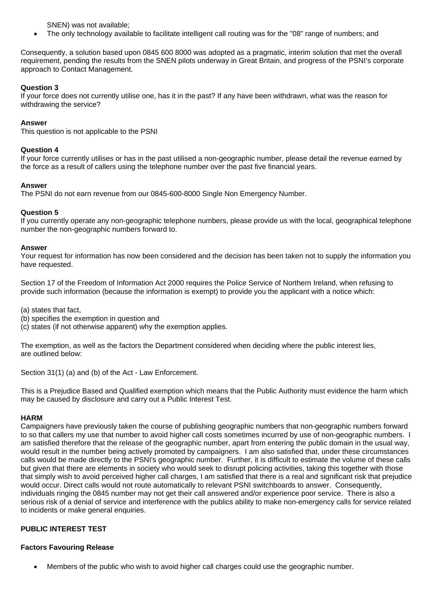SNEN) was not available;

• The only technology available to facilitate intelligent call routing was for the "08" range of numbers; and

Consequently, a solution based upon 0845 600 8000 was adopted as a pragmatic, interim solution that met the overall requirement, pending the results from the SNEN pilots underway in Great Britain, and progress of the PSNI's corporate approach to Contact Management.

# **Question 3**

If your force does not currently utilise one, has it in the past? If any have been withdrawn, what was the reason for withdrawing the service?

# **Answer**

This question is not applicable to the PSNI

# **Question 4**

If your force currently utilises or has in the past utilised a non-geographic number, please detail the revenue earned by the force as a result of callers using the telephone number over the past five financial years.

# **Answer**

The PSNI do not earn revenue from our 0845-600-8000 Single Non Emergency Number.

# **Question 5**

If you currently operate any non-geographic telephone numbers, please provide us with the local, geographical telephone number the non-geographic numbers forward to.

## **Answer**

Your request for information has now been considered and the decision has been taken not to supply the information you have requested.

Section 17 of the Freedom of Information Act 2000 requires the Police Service of Northern Ireland, when refusing to provide such information (because the information is exempt) to provide you the applicant with a notice which:

(a) states that fact,

(b) specifies the exemption in question and

(c) states (if not otherwise apparent) why the exemption applies.

The exemption, as well as the factors the Department considered when deciding where the public interest lies, are outlined below:

Section 31(1) (a) and (b) of the Act - Law Enforcement.

This is a Prejudice Based and Qualified exemption which means that the Public Authority must evidence the harm which may be caused by disclosure and carry out a Public Interest Test.

## **HARM**

Campaigners have previously taken the course of publishing geographic numbers that non-geographic numbers forward to so that callers my use that number to avoid higher call costs sometimes incurred by use of non-geographic numbers. I am satisfied therefore that the release of the geographic number, apart from entering the public domain in the usual way, would result in the number being actively promoted by campaigners. I am also satisfied that, under these circumstances calls would be made directly to the PSNI's geographic number. Further, it is difficult to estimate the volume of these calls but given that there are elements in society who would seek to disrupt policing activities, taking this together with those that simply wish to avoid perceived higher call charges, I am satisfied that there is a real and significant risk that prejudice would occur. Direct calls would not route automatically to relevant PSNI switchboards to answer. Consequently, individuals ringing the 0845 number may not get their call answered and/or experience poor service. There is also a serious risk of a denial of service and interference with the publics ability to make non-emergency calls for service related to incidents or make general enquiries.

# **PUBLIC INTEREST TEST**

## **Factors Favouring Release**

• Members of the public who wish to avoid higher call charges could use the geographic number.